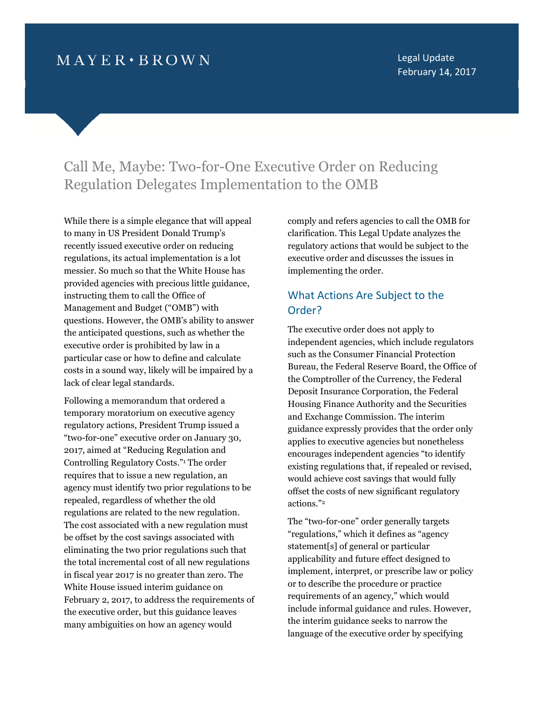# $MAYER \cdot BROWN$

Legal Update February 14, 2017

# Call Me, Maybe: Two-for-One Executive Order on Reducing Regulation Delegates Implementation to the OMB

While there is a simple elegance that will appeal to many in US President Donald Trump's recently issued executive order on reducing regulations, its actual implementation is a lot messier. So much so that the White House has provided agencies with precious little guidance, instructing them to call the Office of Management and Budget ("OMB") with questions. However, the OMB's ability to answer the anticipated questions, such as whether the executive order is prohibited by law in a particular case or how to define and calculate costs in a sound way, likely will be impaired by a lack of clear legal standards.

Following a memorandum that ordered a temporary moratorium on executive agency regulatory actions, President Trump issued a "two-for-one" executive order on January 30, 2017, aimed at "Reducing Regulation and Controlling Regulatory Costs."<sup>1</sup> The order requires that to issue a new regulation, an agency must identify two prior regulations to be repealed, regardless of whether the old regulations are related to the new regulation. The cost associated with a new regulation must be offset by the cost savings associated with eliminating the two prior regulations such that the total incremental cost of all new regulations in fiscal year 2017 is no greater than zero. The White House issued interim guidance on February 2, 2017, to address the requirements of the executive order, but this guidance leaves many ambiguities on how an agency would

comply and refers agencies to call the OMB for clarification. This Legal Update analyzes the regulatory actions that would be subject to the executive order and discusses the issues in implementing the order.

### What Actions Are Subject to the Order?

The executive order does not apply to independent agencies, which include regulators such as the Consumer Financial Protection Bureau, the Federal Reserve Board, the Office of the Comptroller of the Currency, the Federal Deposit Insurance Corporation, the Federal Housing Finance Authority and the Securities and Exchange Commission. The interim guidance expressly provides that the order only applies to executive agencies but nonetheless encourages independent agencies "to identify existing regulations that, if repealed or revised, would achieve cost savings that would fully offset the costs of new significant regulatory actions."<sup>2</sup>

The "two-for-one" order generally targets "regulations," which it defines as "agency statement[s] of general or particular applicability and future effect designed to implement, interpret, or prescribe law or policy or to describe the procedure or practice requirements of an agency," which would include informal guidance and rules. However, the interim guidance seeks to narrow the language of the executive order by specifying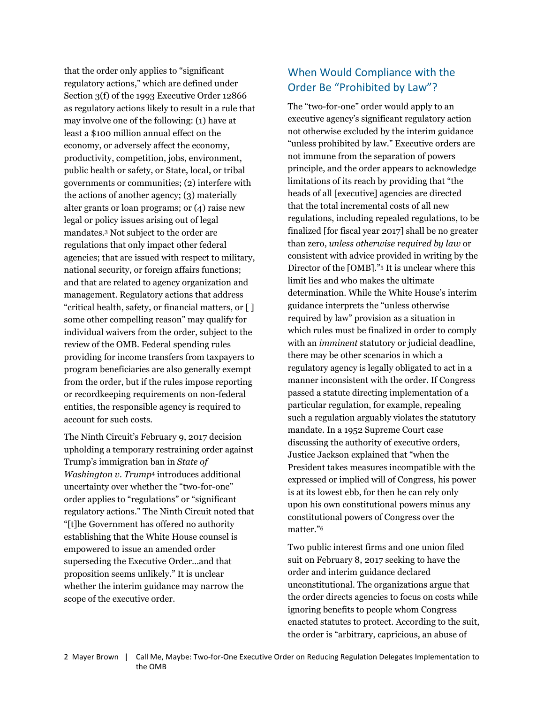that the order only applies to "significant regulatory actions," which are defined under Section 3(f) of the 1993 Executive Order 12866 as regulatory actions likely to result in a rule that may involve one of the following: (1) have at least a \$100 million annual effect on the economy, or adversely affect the economy, productivity, competition, jobs, environment, public health or safety, or State, local, or tribal governments or communities; (2) interfere with the actions of another agency; (3) materially alter grants or loan programs; or (4) raise new legal or policy issues arising out of legal mandates.<sup>3</sup> Not subject to the order are regulations that only impact other federal agencies; that are issued with respect to military, national security, or foreign affairs functions; and that are related to agency organization and management. Regulatory actions that address "critical health, safety, or financial matters, or [ ] some other compelling reason" may qualify for individual waivers from the order, subject to the review of the OMB. Federal spending rules providing for income transfers from taxpayers to program beneficiaries are also generally exempt from the order, but if the rules impose reporting or recordkeeping requirements on non-federal entities, the responsible agency is required to account for such costs.

The Ninth Circuit's February 9, 2017 decision upholding a temporary restraining order against Trump's immigration ban in State of Washington v. Trump<sup>4</sup> introduces additional uncertainty over whether the "two-for-one" order applies to "regulations" or "significant regulatory actions." The Ninth Circuit noted that "[t]he Government has offered no authority establishing that the White House counsel is empowered to issue an amended order superseding the Executive Order…and that proposition seems unlikely." It is unclear whether the interim guidance may narrow the scope of the executive order.

## When Would Compliance with the Order Be "Prohibited by Law"?

The "two-for-one" order would apply to an executive agency's significant regulatory action not otherwise excluded by the interim guidance "unless prohibited by law." Executive orders are not immune from the separation of powers principle, and the order appears to acknowledge limitations of its reach by providing that "the heads of all [executive] agencies are directed that the total incremental costs of all new regulations, including repealed regulations, to be finalized [for fiscal year 2017] shall be no greater than zero, unless otherwise required by law or consistent with advice provided in writing by the Director of the [OMB]."<sup>5</sup> It is unclear where this limit lies and who makes the ultimate determination. While the White House's interim guidance interprets the "unless otherwise required by law" provision as a situation in which rules must be finalized in order to comply with an *imminent* statutory or judicial deadline, there may be other scenarios in which a regulatory agency is legally obligated to act in a manner inconsistent with the order. If Congress passed a statute directing implementation of a particular regulation, for example, repealing such a regulation arguably violates the statutory mandate. In a 1952 Supreme Court case discussing the authority of executive orders, Justice Jackson explained that "when the President takes measures incompatible with the expressed or implied will of Congress, his power is at its lowest ebb, for then he can rely only upon his own constitutional powers minus any constitutional powers of Congress over the matter."<sup>6</sup>

Two public interest firms and one union filed suit on February 8, 2017 seeking to have the order and interim guidance declared unconstitutional. The organizations argue that the order directs agencies to focus on costs while ignoring benefits to people whom Congress enacted statutes to protect. According to the suit, the order is "arbitrary, capricious, an abuse of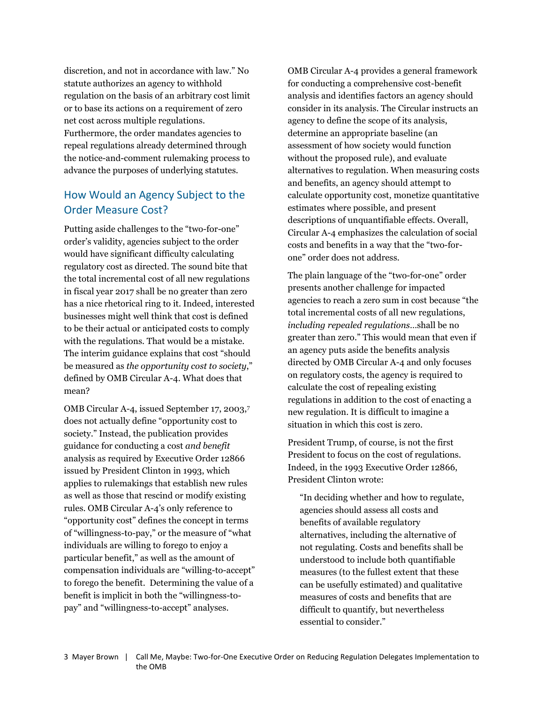discretion, and not in accordance with law." No statute authorizes an agency to withhold regulation on the basis of an arbitrary cost limit or to base its actions on a requirement of zero net cost across multiple regulations. Furthermore, the order mandates agencies to repeal regulations already determined through the notice-and-comment rulemaking process to advance the purposes of underlying statutes.

## How Would an Agency Subject to the Order Measure Cost?

Putting aside challenges to the "two-for-one" order's validity, agencies subject to the order would have significant difficulty calculating regulatory cost as directed. The sound bite that the total incremental cost of all new regulations in fiscal year 2017 shall be no greater than zero has a nice rhetorical ring to it. Indeed, interested businesses might well think that cost is defined to be their actual or anticipated costs to comply with the regulations. That would be a mistake. The interim guidance explains that cost "should be measured as the opportunity cost to society," defined by OMB Circular A-4. What does that mean?

OMB Circular A-4, issued September 17, 2003,<sup>7</sup> does not actually define "opportunity cost to society." Instead, the publication provides guidance for conducting a cost and benefit analysis as required by Executive Order 12866 issued by President Clinton in 1993, which applies to rulemakings that establish new rules as well as those that rescind or modify existing rules. OMB Circular A-4's only reference to "opportunity cost" defines the concept in terms of "willingness-to-pay," or the measure of "what individuals are willing to forego to enjoy a particular benefit," as well as the amount of compensation individuals are "willing-to-accept" to forego the benefit. Determining the value of a benefit is implicit in both the "willingness-topay" and "willingness-to-accept" analyses.

OMB Circular A-4 provides a general framework for conducting a comprehensive cost-benefit analysis and identifies factors an agency should consider in its analysis. The Circular instructs an agency to define the scope of its analysis, determine an appropriate baseline (an assessment of how society would function without the proposed rule), and evaluate alternatives to regulation. When measuring costs and benefits, an agency should attempt to calculate opportunity cost, monetize quantitative estimates where possible, and present descriptions of unquantifiable effects. Overall, Circular A-4 emphasizes the calculation of social costs and benefits in a way that the "two-forone" order does not address.

The plain language of the "two-for-one" order presents another challenge for impacted agencies to reach a zero sum in cost because "the total incremental costs of all new regulations, including repealed regulations…shall be no greater than zero." This would mean that even if an agency puts aside the benefits analysis directed by OMB Circular A-4 and only focuses on regulatory costs, the agency is required to calculate the cost of repealing existing regulations in addition to the cost of enacting a new regulation. It is difficult to imagine a situation in which this cost is zero.

President Trump, of course, is not the first President to focus on the cost of regulations. Indeed, in the 1993 Executive Order 12866, President Clinton wrote:

"In deciding whether and how to regulate, agencies should assess all costs and benefits of available regulatory alternatives, including the alternative of not regulating. Costs and benefits shall be understood to include both quantifiable measures (to the fullest extent that these can be usefully estimated) and qualitative measures of costs and benefits that are difficult to quantify, but nevertheless essential to consider."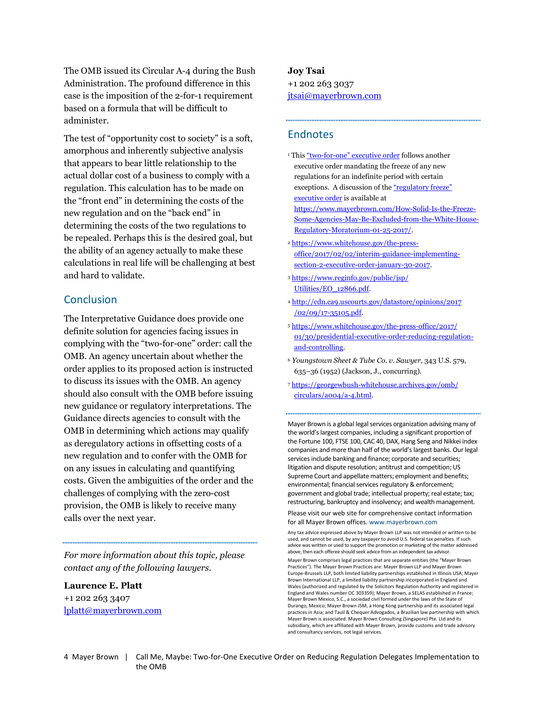The OMB issued its Circular A-4 during the Bush Administration. The profound difference in this case is the imposition of the 2-for-1 requirement based on a formula that will be difficult to administer.

The test of "opportunity cost to society" is a soft, amorphous and inherently subjective analysis that appears to bear little relationship to the actual dollar cost of a business to comply with a regulation. This calculation has to be made on the "front end" in determining the costs of the new regulation and on the "back end" in determining the costs of the two regulations to be repealed. Perhaps this is the desired goal, but the ability of an agency actually to make these calculations in real life will be challenging at best and hard to validate.

### Conclusion

The Interpretative Guidance does provide one definite solution for agencies facing issues in complying with the "two-for-one" order: call the OMB. An agency uncertain about whether the order applies to its proposed action is instructed to discuss its issues with the OMB. An agency should also consult with the OMB before issuing new guidance or regulatory interpretations. The Guidance directs agencies to consult with the OMB in determining which actions may qualify as deregulatory actions in offsetting costs of a new regulation and to confer with the OMB for on any issues in calculating and quantifying costs. Given the ambiguities of the order and the challenges of complying with the zero-cost provision, the OMB is likely to receive many calls over the next year.

For more information about this topic, please contact any of the following lawyers.

### Laurence E. Platt

+1 202 263 3407 lplatt@mayerbrown.com

#### Joy Tsai

+1 202 263 3037 jtsai@mayerbrown.com

#### **Endnotes**

- <sup>1</sup> This "two-for-one" executive order follows another executive order mandating the freeze of any new regulations for an indefinite period with certain exceptions. A discussion of the "regulatory freeze" executive order is available at https://www.mayerbrown.com/How-Solid-Is-the-Freeze-Some-Agencies-May-Be-Excluded-from-the-White-House-Regulatory-Moratorium-01-25-2017/.
- <sup>2</sup> https://www.whitehouse.gov/the-pressoffice/2017/02/02/interim-guidance-implementingsection-2-executive-order-january-30-2017.
- <sup>3</sup> https://www.reginfo.gov/public/jsp/ Utilities/EO\_12866.pdf.
- <sup>4</sup> http://cdn.ca9.uscourts.gov/datastore/opinions/2017 /02/09/17-35105.pdf.
- <sup>5</sup> https://www.whitehouse.gov/the-press-office/2017/ 01/30/presidential-executive-order-reducing-regulationand-controlling.
- <sup>6</sup> Youngstown Sheet & Tube Co. v. Sawyer, 343 U.S. 579, 635–36 (1952) (Jackson, J., concurring).
- <sup>7</sup> https://georgewbush-whitehouse.archives.gov/omb/ circulars/a004/a-4.html.

Mayer Brown is a global legal services organization advising many of the world's largest companies, including a significant proportion of the Fortune 100, FTSE 100, CAC 40, DAX, Hang Seng and Nikkei index companies and more than half of the world's largest banks. Our legal services include banking and finance; corporate and securities; litigation and dispute resolution; antitrust and competition; US Supreme Court and appellate matters; employment and benefits; environmental; financial services regulatory & enforcement; government and global trade; intellectual property; real estate; tax; restructuring, bankruptcy and insolvency; and wealth management.

Please visit our web site for comprehensive contact information for all Mayer Brown offices. www.mayerbrown.com

Any tax advice expressed above by Mayer Brown LLP was not intended or written to be used, and cannot be used, by any taxpayer to avoid U.S. federal tax penalties. If such advice was written or used to support the promotion or marketing of the matter addressed above, then each offeree should seek advice from an independent tax advisor.

Mayer Brown comprises legal practices that are separate entities (the "Mayer Brown Practices"). The Mayer Brown Practices are: Mayer Brown LLP and Mayer Brown Europe-Brussels LLP, both limited liability partnerships established in Illinois USA; Mayer Brown International LLP, a limited liability partnership incorporated in England and Wales (authorized and regulated by the Solicitors Regulation Authority and registered in England and Wales number OC 303359); Mayer Brown, a SELAS established in France; Mayer Brown Mexico, S.C., a sociedad civil formed under the laws of the State of Durango, Mexico; Mayer Brown JSM, a Hong Kong partnership and its associated legal practices in Asia; and Tauil & Chequer Advogados, a Brazilian law partnership with which Mayer Brown is associated. Mayer Brown Consulting (Singapore) Pte. Ltd and its subsidiary, which are affiliated with Mayer Brown, provide customs and trade advisory and consultancy services, not legal services.